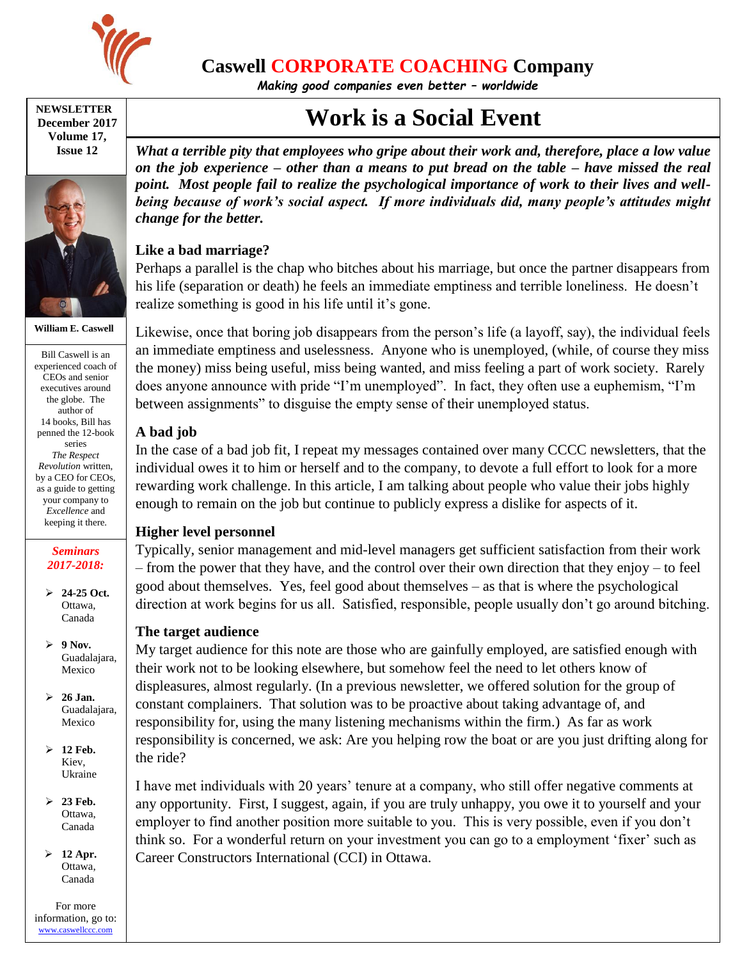

**Caswell CORPORATE COACHING Company**

*Making good companies even better – worldwide*

#### **NEWSLETTER December 2017 Volume 17, Issue 12**



**William E. Caswell**

Bill Caswell is an experienced coach of CEOs and senior executives around the globe. The author of 14 books, Bill has penned the 12-book series *The Respect Revolution* written, by a CEO for CEOs, as a guide to getting your company to *Excellence* and keeping it there.

### *Seminars 2017-2018:*

- **24-25 Oct.** Ottawa, Canada
- **9 Nov.** Guadalajara, Mexico
- **26 Jan.** Guadalajara, Mexico
- **12 Feb.** Kiev, Ukraine
- **23 Feb.** Ottawa, Canada
- **12 Apr.** Ottawa, Canada

For more information, go to: [www.caswellccc.com](http://www.caswellccc.com/)

# **Work is a Social Event**

*What a terrible pity that employees who gripe about their work and, therefore, place a low value on the job experience – other than a means to put bread on the table – have missed the real point. Most people fail to realize the psychological importance of work to their lives and wellbeing because of work's social aspect. If more individuals did, many people's attitudes might change for the better.*

# **Like a bad marriage?**

Perhaps a parallel is the chap who bitches about his marriage, but once the partner disappears from his life (separation or death) he feels an immediate emptiness and terrible loneliness. He doesn't realize something is good in his life until it's gone.

Likewise, once that boring job disappears from the person's life (a layoff, say), the individual feels an immediate emptiness and uselessness. Anyone who is unemployed, (while, of course they miss the money) miss being useful, miss being wanted, and miss feeling a part of work society. Rarely does anyone announce with pride "I'm unemployed". In fact, they often use a euphemism, "I'm between assignments" to disguise the empty sense of their unemployed status.

## **A bad job**

In the case of a bad job fit, I repeat my messages contained over many CCCC newsletters, that the individual owes it to him or herself and to the company, to devote a full effort to look for a more rewarding work challenge. In this article, I am talking about people who value their jobs highly enough to remain on the job but continue to publicly express a dislike for aspects of it.

# **Higher level personnel**

Typically, senior management and mid-level managers get sufficient satisfaction from their work – from the power that they have, and the control over their own direction that they enjoy – to feel good about themselves. Yes, feel good about themselves – as that is where the psychological direction at work begins for us all. Satisfied, responsible, people usually don't go around bitching.

# **The target audience**

My target audience for this note are those who are gainfully employed, are satisfied enough with their work not to be looking elsewhere, but somehow feel the need to let others know of displeasures, almost regularly. (In a previous newsletter, we offered solution for the group of constant complainers. That solution was to be proactive about taking advantage of, and responsibility for, using the many listening mechanisms within the firm.) As far as work responsibility is concerned, we ask: Are you helping row the boat or are you just drifting along for the ride?

I have met individuals with 20 years' tenure at a company, who still offer negative comments at any opportunity. First, I suggest, again, if you are truly unhappy, you owe it to yourself and your employer to find another position more suitable to you. This is very possible, even if you don't think so. For a wonderful return on your investment you can go to a employment 'fixer' such as Career Constructors International (CCI) in Ottawa.